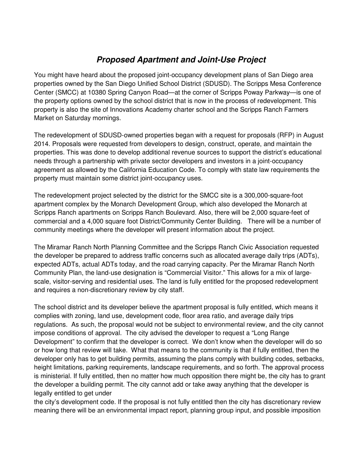## **Proposed Apartment and Joint-Use Project**

You might have heard about the proposed joint-occupancy development plans of San Diego area properties owned by the San Diego Unified School District (SDUSD). The Scripps Mesa Conference Center (SMCC) at 10380 Spring Canyon Road—at the corner of Scripps Poway Parkway—is one of the property options owned by the school district that is now in the process of redevelopment. This property is also the site of Innovations Academy charter school and the Scripps Ranch Farmers Market on Saturday mornings.

The redevelopment of SDUSD-owned properties began with a request for proposals (RFP) in August 2014. Proposals were requested from developers to design, construct, operate, and maintain the properties. This was done to develop additional revenue sources to support the district's educational needs through a partnership with private sector developers and investors in a joint-occupancy agreement as allowed by the California Education Code. To comply with state law requirements the property must maintain some district joint-occupancy uses.

The redevelopment project selected by the district for the SMCC site is a 300,000-square-foot apartment complex by the Monarch Development Group, which also developed the Monarch at Scripps Ranch apartments on Scripps Ranch Boulevard. Also, there will be 2,000 square-feet of commercial and a 4,000 square foot District/Community Center Building. There will be a number of community meetings where the developer will present information about the project.

The Miramar Ranch North Planning Committee and the Scripps Ranch Civic Association requested the developer be prepared to address traffic concerns such as allocated average daily trips (ADTs), expected ADTs, actual ADTs today, and the road carrying capacity. Per the Miramar Ranch North Community Plan, the land-use designation is "Commercial Visitor." This allows for a mix of largescale, visitor-serving and residential uses. The land is fully entitled for the proposed redevelopment and requires a non-discretionary review by city staff.

The school district and its developer believe the apartment proposal is fully entitled, which means it complies with zoning, land use, development code, floor area ratio, and average daily trips regulations. As such, the proposal would not be subject to environmental review, and the city cannot impose conditions of approval. The city advised the developer to request a "Long Range Development" to confirm that the developer is correct. We don't know when the developer will do so or how long that review will take. What that means to the community is that if fully entitled, then the developer only has to get building permits, assuming the plans comply with building codes, setbacks, height limitations, parking requirements, landscape requirements, and so forth. The approval process is ministerial. If fully entitled, then no matter how much opposition there might be, the city has to grant the developer a building permit. The city cannot add or take away anything that the developer is legally entitled to get under

the city's development code. If the proposal is not fully entitled then the city has discretionary review meaning there will be an environmental impact report, planning group input, and possible imposition